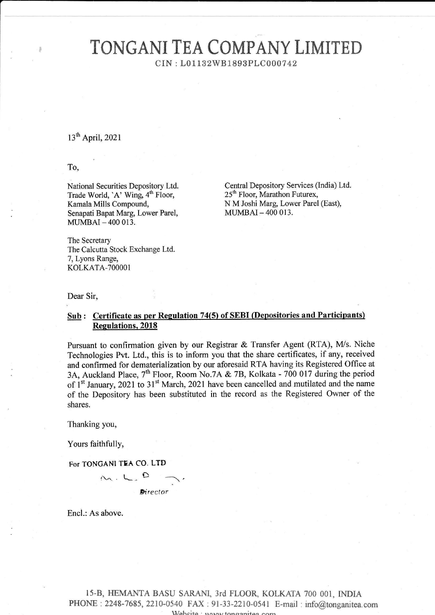# TONGANI TEA COMPANY LIMITED

CIN : L01 132W8 1893PLC000742

## 13<sup>th</sup> April, 2021

To,

National Securities Depository Ltd. Trade World, 'A' Wing, 4<sup>th</sup> Floor, Kamala Mills Compound, Senapati Bapat Marg, Lower Parel, MUMBAI - 400 013.

Central Depository Services (India) Ltd. 25<sup>th</sup> Floor, Marathon Futurex, N M Joshi Marg, Lower Parel (East), MUMBAI\_4OO 013.

The Secretary The Calcutta Stock Exchange Ltd. 7, Lyons Range, KOLKATA-TOOOOI

Dear Sir,

## Sub: Certificate as per Regulation 74(5) of SEBI (Depositories and Participants) Regulations, 2018

Pursuant to confirmation given by our Registrar & Transfer Agent (RTA), M/s. Niche Technologies Pvt. Ltd., this is to inform you that the share certificates, if any, received and confirmed for dematerialization by our aforesaid RTA having its Registered Office at 3A, Auckland Place, 7<sup>th</sup> Floor, Room No.7A & 7B, Kolkata - 700 017 during the period of 1<sup>st</sup> January, 2021 to 31<sup>st</sup> March, 2021 have been cancelled and mutilated and the name of the Depository has been substituted in the record as the Registered Owner of the shares.

Thanking you,

Yours faithfully,

For TONGANI TEA CO. LTD



Encl.: As above.

15-B, HEMANTA BASU SARANI, 3rd FLOOR, KOLKATA 700 001, INDIA PHONE: 2248-7685, 2210-0540 FAX: 91-33-2210-0541 E-mail: info@tonganitea.com Website wavwtonganitee com